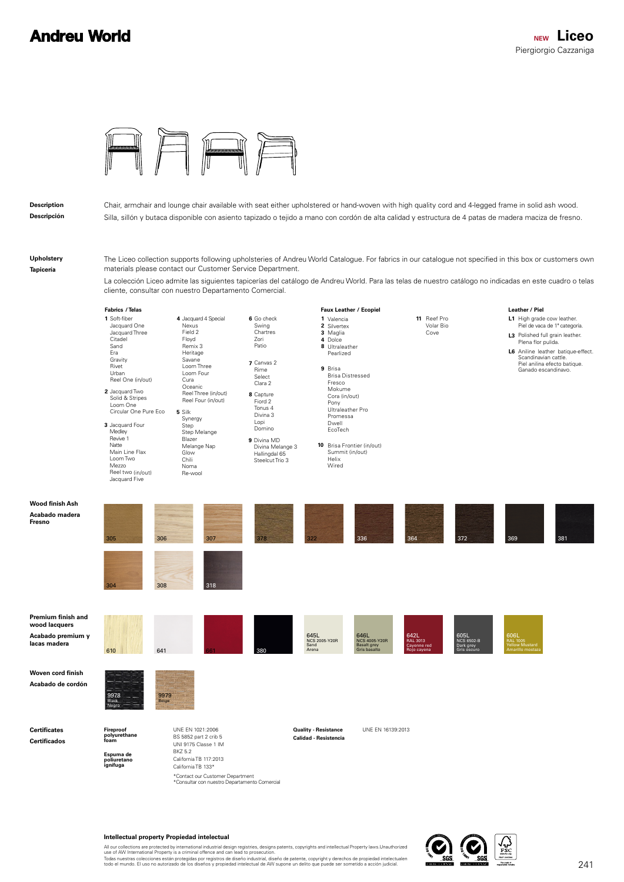## **Andreu World**



## **Description**

**Descripción**

Chair, armchair and lounge chair available with seat either upholstered or hand-woven with high quality cord and 4-legged frame in solid ash wood. Silla, sillón y butaca disponible con asiento tapizado o tejido a mano con cordón de alta calidad y estructura de 4 patas de madera maciza de fresno.

**Upholstery Tapicería**

**Fresno**

The Liceo collection supports following upholsteries of Andreu World Catalogue. For fabrics in our catalogue not specified in this box or customers own materials please contact our Customer Service Department.

La colección Liceo admite las siguientes tapicerías del catálogo de Andreu World. Para las telas de nuestro catálogo no indicadas en este cuadro o telas cliente, consultar con nuestro Departamento Comercial.



## **Intellectual property Propiedad intelectual**

All our collections are protected by international industrial design registries, designs patents, copyrights and intellectual Property laws.Unauthorized<br>use of AW International Property is a criminal offence and can lead t

Todas nuestras colecciones están protegidas por registros de diseño industrial, diseño de patente, copyright y derechos de propiedad intelectualen<br>todo el mundo. El uso no autorizado de los diseños y propiedad intelectual